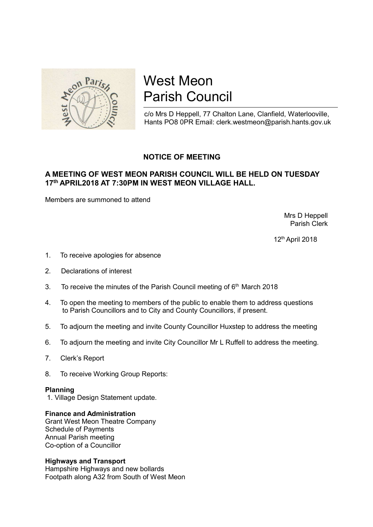

# West Meon Parish Council

c/o Mrs D Heppell, 77 Chalton Lane, Clanfield, Waterlooville, Hants PO8 0PR Email: clerk.westmeon@parish.hants.gov.uk

## NOTICE OF MEETING

### A MEETING OF WEST MEON PARISH COUNCIL WILL BE HELD ON TUESDAY 17th APRIL2018 AT 7:30PM IN WEST MEON VILLAGE HALL.

Members are summoned to attend

 Mrs D Heppell Parish Clerk

12th April 2018

- 1. To receive apologies for absence
- 2. Declarations of interest
- 3. To receive the minutes of the Parish Council meeting of  $6<sup>th</sup>$  March 2018
- 4. To open the meeting to members of the public to enable them to address questions to Parish Councillors and to City and County Councillors, if present.
- 5. To adjourn the meeting and invite County Councillor Huxstep to address the meeting
- 6. To adjourn the meeting and invite City Councillor Mr L Ruffell to address the meeting.
- 7. Clerk's Report
- 8. To receive Working Group Reports:

#### Planning

1. Village Design Statement update.

#### Finance and Administration

Grant West Meon Theatre Company Schedule of Payments Annual Parish meeting Co-option of a Councillor

#### Highways and Transport

Hampshire Highways and new bollards Footpath along A32 from South of West Meon